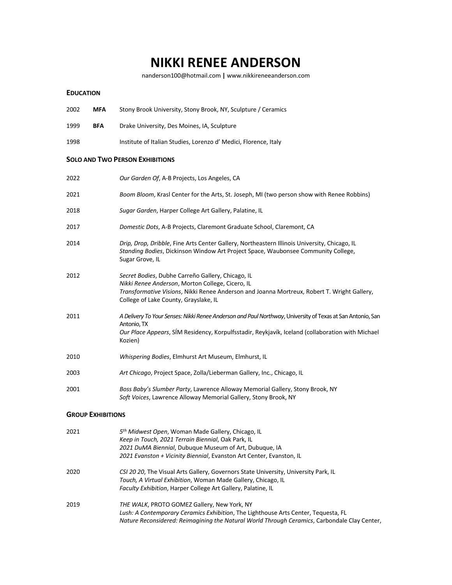# **NIKKI RENEE ANDERSON**

nanderson100@hotmail.com **|** www.nikkireneeanderson.com

## **EDUCATION**

- 2002 MFA Stony Brook University, Stony Brook, NY, Sculpture / Ceramics
- 1999 **BFA** Drake University, Des Moines, IA, Sculpture
- 1998 Institute of Italian Studies, Lorenzo d' Medici, Florence, Italy

### **SOLO AND TWO PERSON EXHIBITIONS**

| 2022 | Our Garden Of, A-B Projects, Los Angeles, CA                                                                                                                                                                                                  |
|------|-----------------------------------------------------------------------------------------------------------------------------------------------------------------------------------------------------------------------------------------------|
| 2021 | Boom Bloom, Krasl Center for the Arts, St. Joseph, MI (two person show with Renee Robbins)                                                                                                                                                    |
| 2018 | Sugar Garden, Harper College Art Gallery, Palatine, IL                                                                                                                                                                                        |
| 2017 | Domestic Dots, A-B Projects, Claremont Graduate School, Claremont, CA                                                                                                                                                                         |
| 2014 | Drip, Drop, Dribble, Fine Arts Center Gallery, Northeastern Illinois University, Chicago, IL<br>Standing Bodies, Dickinson Window Art Project Space, Waubonsee Community College,<br>Sugar Grove, IL                                          |
| 2012 | Secret Bodies, Dubhe Carreño Gallery, Chicago, IL<br>Nikki Renee Anderson, Morton College, Cicero, IL<br>Transformative Visions, Nikki Renee Anderson and Joanna Mortreux, Robert T. Wright Gallery,<br>College of Lake County, Grayslake, IL |
| 2011 | A Delivery To Your Senses: Nikki Renee Anderson and Paul Northway, University of Texas at San Antonio, San<br>Antonio, TX<br>Our Place Appears, SÍM Residency, Korpulfsstadir, Reykjavík, Iceland (collaboration with Michael<br>Kozien)      |
| 2010 | Whispering Bodies, Elmhurst Art Museum, Elmhurst, IL                                                                                                                                                                                          |
| 2003 | Art Chicago, Project Space, Zolla/Lieberman Gallery, Inc., Chicago, IL                                                                                                                                                                        |
| 2001 | Boss Baby's Slumber Party, Lawrence Alloway Memorial Gallery, Stony Brook, NY<br>Soft Voices, Lawrence Alloway Memorial Gallery, Stony Brook, NY                                                                                              |

#### **GROUP EXHIBITIONS**

| 2021 | 5 <sup>th</sup> Midwest Open, Woman Made Gallery, Chicago, IL                                |
|------|----------------------------------------------------------------------------------------------|
|      | Keep in Touch, 2021 Terrain Biennial, Oak Park, IL                                           |
|      | 2021 DuMA Biennial, Dubuque Museum of Art, Dubuque, IA                                       |
|      | 2021 Evanston + Vicinity Biennial, Evanston Art Center, Evanston, IL                         |
| 2020 | CSI 20 20, The Visual Arts Gallery, Governors State University, University Park, IL          |
|      | Touch, A Virtual Exhibition, Woman Made Gallery, Chicago, IL                                 |
|      | Faculty Exhibition, Harper College Art Gallery, Palatine, IL                                 |
| 2019 | THE WALK, PROTO GOMEZ Gallery, New York, NY                                                  |
|      | Lush: A Contemporary Ceramics Exhibition, The Lighthouse Arts Center, Tequesta, FL           |
|      | Nature Reconsidered: Reimagining the Natural World Through Ceramics, Carbondale Clay Center, |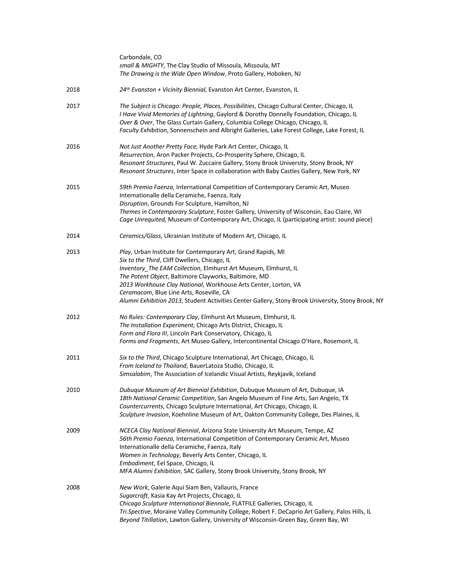|      | Carbondale, CO<br>small & MIGHTY, The Clay Studio of Missoula, Missoula, MT<br>The Drawing is the Wide Open Window, Proto Gallery, Hoboken, NJ                                                                                                                                                                                                                                                                                                                 |
|------|----------------------------------------------------------------------------------------------------------------------------------------------------------------------------------------------------------------------------------------------------------------------------------------------------------------------------------------------------------------------------------------------------------------------------------------------------------------|
| 2018 | 24th Evanston + Vicinity Biennial, Evanston Art Center, Evanston, IL                                                                                                                                                                                                                                                                                                                                                                                           |
| 2017 | The Subject is Chicago: People, Places, Possibilities, Chicago Cultural Center, Chicago, IL<br>I Have Vivid Memories of Lightning, Gaylord & Dorothy Donnelly Foundation, Chicago, IL<br>Over & Over, The Glass Curtain Gallery, Columbia College Chicago, Chicago, IL<br>Faculty Exhibition, Sonnenschein and Albright Galleries, Lake Forest College, Lake Forest, IL                                                                                        |
| 2016 | Not Just Another Pretty Face, Hyde Park Art Center, Chicago, IL<br>Resurrection, Aron Packer Projects, Co-Prosperity Sphere, Chicago, IL<br>Resonant Structures, Paul W. Zuccaire Gallery, Stony Brook University, Stony Brook, NY<br>Resonant Structures, Inter Space in collaboration with Baby Castles Gallery, New York, NY                                                                                                                                |
| 2015 | 59th Premio Faenza, International Competition of Contemporary Ceramic Art, Museo<br>Internationalle della Ceramiche, Faenza, Italy<br>Disruption, Grounds For Sculpture, Hamilton, NJ<br>Themes in Contemporary Sculpture, Foster Gallery, University of Wisconsin, Eau Claire, WI<br>Cage Unrequited, Museum of Contemporary Art, Chicago, IL (participating artist: sound piece)                                                                             |
| 2014 | Ceramics/Glass, Ukrainian Institute of Modern Art, Chicago, IL                                                                                                                                                                                                                                                                                                                                                                                                 |
| 2013 | Play, Urban Institute for Contemporary Art, Grand Rapids, MI<br>Six to the Third, Cliff Dwellers, Chicago, IL<br>Inventory_The EAM Collection, Elmhurst Art Museum, Elmhurst, IL<br>The Potent Object, Baltimore Clayworks, Baltimore, MD<br>2013 Workhouse Clay National, Workhouse Arts Center, Lorton, VA<br>Ceramacom, Blue Line Arts, Roseville, CA<br>Alumni Exhibition 2013, Student Activities Center Gallery, Stony Brook University, Stony Brook, NY |
| 2012 | No Rules: Contemporary Clay, Elmhurst Art Museum, Elmhurst, IL<br>The Installation Experiment, Chicago Arts District, Chicago, IL<br>Form and Flora III, Lincoln Park Conservatory, Chicago, IL<br>Forms and Fragments, Art Museo Gallery, Intercontinental Chicago O'Hare, Rosemont, IL                                                                                                                                                                       |
| 2011 | Six to the Third, Chicago Sculpture International, Art Chicago, Chicago, IL<br>From Iceland to Thailand, BauerLatoza Studio, Chicago, IL<br>Simsalabim, The Association of Icelandic Visual Artists, Reykjavík, Iceland                                                                                                                                                                                                                                        |
| 2010 | Dubuque Museum of Art Biennial Exhibition, Dubuque Museum of Art, Dubuque, IA<br>18th National Ceramic Competition, San Angelo Museum of Fine Arts, San Angelo, TX<br>Countercurrents, Chicago Sculpture International, Art Chicago, Chicago, IL<br>Sculpture Invasion, Koehnline Museum of Art, Oakton Community College, Des Plaines, IL                                                                                                                     |
| 2009 | NCECA Clay National Biennial, Arizona State University Art Museum, Tempe, AZ<br>56th Premio Faenza, International Competition of Contemporary Ceramic Art, Museo<br>Internationalle della Ceramiche, Faenza, Italy<br>Women in Technology, Beverly Arts Center, Chicago, IL<br>Embodiment, Eel Space, Chicago, IL<br>MFA Alumni Exhibition, SAC Gallery, Stony Brook University, Stony Brook, NY                                                               |
| 2008 | New Work, Galerie Aqui Siam Ben, Vallauris, France<br>Sugarcraft, Kasia Kay Art Projects, Chicago, IL<br>Chicago Sculpture International Biennale, FLATFILE Galleries, Chicago, IL<br>Tri.Spective, Moraine Valley Community College, Robert F. DeCaprio Art Gallery, Palos Hills, IL<br>Beyond Titillation, Lawton Gallery, University of Wisconsin-Green Bay, Green Bay, WI                                                                                  |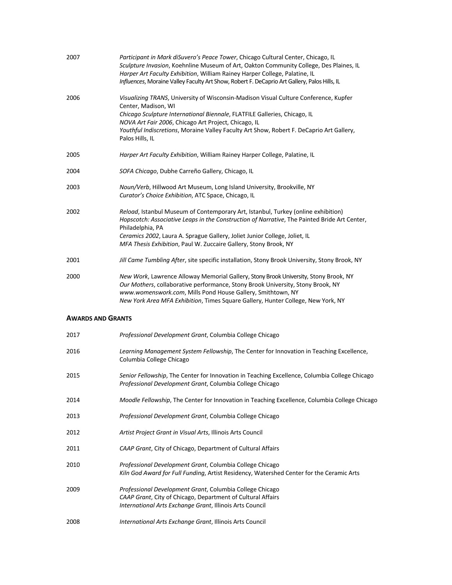| 2007 | Participant in Mark diSuvero's Peace Tower, Chicago Cultural Center, Chicago, IL<br>Sculpture Invasion, Koehnline Museum of Art, Oakton Community College, Des Plaines, IL<br>Harper Art Faculty Exhibition, William Rainey Harper College, Palatine, IL                                                                   |
|------|----------------------------------------------------------------------------------------------------------------------------------------------------------------------------------------------------------------------------------------------------------------------------------------------------------------------------|
|      | Influences, Moraine Valley Faculty Art Show, Robert F. DeCaprio Art Gallery, Palos Hills, IL                                                                                                                                                                                                                               |
| 2006 | Visualizing TRANS, University of Wisconsin-Madison Visual Culture Conference, Kupfer<br>Center, Madison, WI                                                                                                                                                                                                                |
|      | Chicago Sculpture International Biennale, FLATFILE Galleries, Chicago, IL<br>NOVA Art Fair 2006, Chicago Art Project, Chicago, IL                                                                                                                                                                                          |
|      | Youthful Indiscretions, Moraine Valley Faculty Art Show, Robert F. DeCaprio Art Gallery,<br>Palos Hills, IL                                                                                                                                                                                                                |
| 2005 | Harper Art Faculty Exhibition, William Rainey Harper College, Palatine, IL                                                                                                                                                                                                                                                 |
| 2004 | SOFA Chicago, Dubhe Carreño Gallery, Chicago, IL                                                                                                                                                                                                                                                                           |
| 2003 | Noun/Verb, Hillwood Art Museum, Long Island University, Brookville, NY<br>Curator's Choice Exhibition, ATC Space, Chicago, IL                                                                                                                                                                                              |
| 2002 | Reload, Istanbul Museum of Contemporary Art, Istanbul, Turkey (online exhibition)<br>Hopscotch: Associative Leaps in the Construction of Narrative, The Painted Bride Art Center,<br>Philadelphia, PA                                                                                                                      |
|      | Ceramics 2002, Laura A. Sprague Gallery, Joliet Junior College, Joliet, IL<br>MFA Thesis Exhibition, Paul W. Zuccaire Gallery, Stony Brook, NY                                                                                                                                                                             |
| 2001 | Jill Came Tumbling After, site specific installation, Stony Brook University, Stony Brook, NY                                                                                                                                                                                                                              |
| 2000 | New Work, Lawrence Alloway Memorial Gallery, Stony Brook University, Stony Brook, NY<br>Our Mothers, collaborative performance, Stony Brook University, Stony Brook, NY<br>www.womenswork.com, Mills Pond House Gallery, Smithtown, NY<br>New York Area MFA Exhibition, Times Square Gallery, Hunter College, New York, NY |

### **AWARDS AND GRANTS**

| 2017 | Professional Development Grant, Columbia College Chicago                                                                                                                            |
|------|-------------------------------------------------------------------------------------------------------------------------------------------------------------------------------------|
| 2016 | Learning Management System Fellowship, The Center for Innovation in Teaching Excellence,<br>Columbia College Chicago                                                                |
| 2015 | Senior Fellowship, The Center for Innovation in Teaching Excellence, Columbia College Chicago<br>Professional Development Grant, Columbia College Chicago                           |
| 2014 | Moodle Fellowship, The Center for Innovation in Teaching Excellence, Columbia College Chicago                                                                                       |
| 2013 | Professional Development Grant, Columbia College Chicago                                                                                                                            |
| 2012 | Artist Project Grant in Visual Arts, Illinois Arts Council                                                                                                                          |
| 2011 | CAAP Grant, City of Chicago, Department of Cultural Affairs                                                                                                                         |
| 2010 | Professional Development Grant, Columbia College Chicago<br>Kiln God Award for Full Funding, Artist Residency, Watershed Center for the Ceramic Arts                                |
| 2009 | Professional Development Grant, Columbia College Chicago<br>CAAP Grant, City of Chicago, Department of Cultural Affairs<br>International Arts Exchange Grant, Illinois Arts Council |
| 2008 | International Arts Exchange Grant, Illinois Arts Council                                                                                                                            |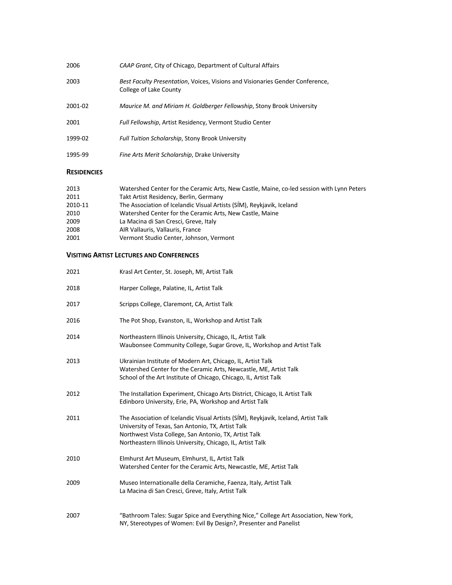| 2006    | CAAP Grant, City of Chicago, Department of Cultural Affairs                                             |
|---------|---------------------------------------------------------------------------------------------------------|
| 2003    | Best Faculty Presentation, Voices, Visions and Visionaries Gender Conference,<br>College of Lake County |
| 2001-02 | Maurice M. and Miriam H. Goldberger Fellowship, Stony Brook University                                  |
| 2001    | Full Fellowship, Artist Residency, Vermont Studio Center                                                |
| 1999-02 | <b>Full Tuition Scholarship, Stony Brook University</b>                                                 |
| 1995-99 | Fine Arts Merit Scholarship, Drake University                                                           |

## **RESIDENCIES**

| 2013    | Watershed Center for the Ceramic Arts, New Castle, Maine, co-led session with Lynn Peters |
|---------|-------------------------------------------------------------------------------------------|
| 2011    | Takt Artist Residency, Berlin, Germany                                                    |
| 2010-11 | The Association of Icelandic Visual Artists (SÍM), Reykjavik, Iceland                     |
| 2010    | Watershed Center for the Ceramic Arts, New Castle, Maine                                  |
| 2009    | La Macina di San Cresci, Greve, Italy                                                     |
| 2008    | AIR Vallauris, Vallauris, France                                                          |
| 2001    | Vermont Studio Center, Johnson, Vermont                                                   |

# **VISITING ARTIST LECTURES AND CONFERENCES**

| 2021 | Krasl Art Center, St. Joseph, MI, Artist Talk                                                                                                                                                                                                                  |
|------|----------------------------------------------------------------------------------------------------------------------------------------------------------------------------------------------------------------------------------------------------------------|
| 2018 | Harper College, Palatine, IL, Artist Talk                                                                                                                                                                                                                      |
| 2017 | Scripps College, Claremont, CA, Artist Talk                                                                                                                                                                                                                    |
| 2016 | The Pot Shop, Evanston, IL, Workshop and Artist Talk                                                                                                                                                                                                           |
| 2014 | Northeastern Illinois University, Chicago, IL, Artist Talk<br>Waubonsee Community College, Sugar Grove, IL, Workshop and Artist Talk                                                                                                                           |
| 2013 | Ukrainian Institute of Modern Art, Chicago, IL, Artist Talk<br>Watershed Center for the Ceramic Arts, Newcastle, ME, Artist Talk<br>School of the Art Institute of Chicago, Chicago, IL, Artist Talk                                                           |
| 2012 | The Installation Experiment, Chicago Arts District, Chicago, IL Artist Talk<br>Edinboro University, Erie, PA, Workshop and Artist Talk                                                                                                                         |
| 2011 | The Association of Icelandic Visual Artists (SIM), Reykjavik, Iceland, Artist Talk<br>University of Texas, San Antonio, TX, Artist Talk<br>Northwest Vista College, San Antonio, TX, Artist Talk<br>Northeastern Illinois University, Chicago, IL, Artist Talk |
| 2010 | Elmhurst Art Museum, Elmhurst, IL, Artist Talk<br>Watershed Center for the Ceramic Arts, Newcastle, ME, Artist Talk                                                                                                                                            |
| 2009 | Museo Internationalle della Ceramiche, Faenza, Italy, Artist Talk<br>La Macina di San Cresci, Greve, Italy, Artist Talk                                                                                                                                        |
| 2007 | "Bathroom Tales: Sugar Spice and Everything Nice," College Art Association, New York,<br>NY, Stereotypes of Women: Evil By Design?, Presenter and Panelist                                                                                                     |